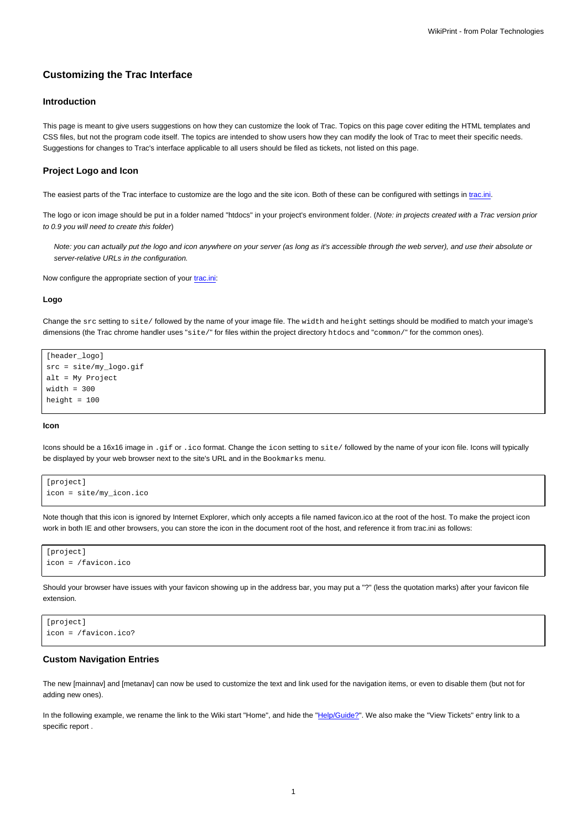# **Customizing the Trac Interface**

## **Introduction**

This page is meant to give users suggestions on how they can customize the look of Trac. Topics on this page cover editing the HTML templates and CSS files, but not the program code itself. The topics are intended to show users how they can modify the look of Trac to meet their specific needs. Suggestions for changes to Trac's interface applicable to all users should be filed as tickets, not listed on this page.

#### **Project Logo and Icon**

The easiest parts of the Trac interface to customize are the logo and the site icon. Both of these can be configured with settings in [trac.ini.](https://meteo.unican.es/trac/wiki/TracIni)

The logo or icon image should be put in a folder named "htdocs" in your project's environment folder. (Note: in projects created with a Trac version prior to 0.9 you will need to create this folder)

Note: you can actually put the logo and icon anywhere on your server (as long as it's accessible through the web server), and use their absolute or server-relative URLs in the configuration.

Now configure the appropriate section of your [trac.ini](https://meteo.unican.es/trac/wiki/TracIni):

#### **Logo**

Change the src setting to site/ followed by the name of your image file. The width and height settings should be modified to match your image's dimensions (the Trac chrome handler uses "site/" for files within the project directory htdocs and "common/" for the common ones).

```
[header_logo]
src = site/my_logo.gif
alt = My Project
width = 300
height = 100
```
### **Icon**

Icons should be a 16x16 image in .gif or .ico format. Change the icon setting to site/ followed by the name of your icon file. Icons will typically be displayed by your web browser next to the site's URL and in the Bookmarks menu.

```
[project]
icon = site/my_icon.ico
```
Note though that this icon is ignored by Internet Explorer, which only accepts a file named favicon.ico at the root of the host. To make the project icon work in both IE and other browsers, you can store the icon in the document root of the host, and reference it from trac.ini as follows:

```
[project]
icon = /favicon.ico
```
Should your browser have issues with your favicon showing up in the address bar, you may put a "?" (less the quotation marks) after your favicon file extension.

```
[project]
icon = /favicon.ico?
```
### **Custom Navigation Entries**

The new [mainnav] and [metanav] can now be used to customize the text and link used for the navigation items, or even to disable them (but not for adding new ones).

In the following example, we rename the link to the Wiki start "Home", and hide the "Help/Guide?". We also make the "View Tickets" entry link to a specific report .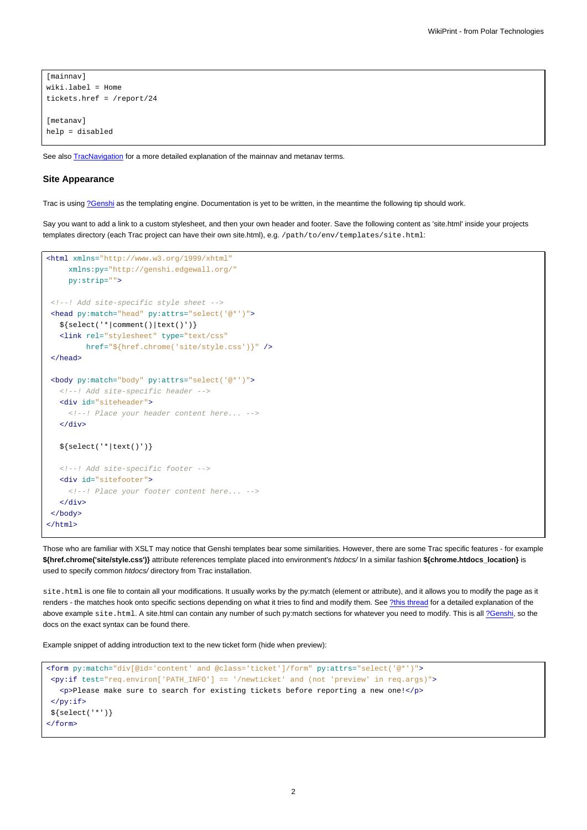```
[mainnav]
wiki.label = Home
tickets.href = /report/24
[metanav]
help = disabled
```
See also **[TracNavigation](https://meteo.unican.es/trac/wiki/TracNavigation)** for a more detailed explanation of the mainnav and metanav terms.

### **Site Appearance**

Trac is using [?Genshi](http://genshi.edgewall.org) as the templating engine. Documentation is yet to be written, in the meantime the following tip should work.

Say you want to add a link to a custom stylesheet, and then your own header and footer. Save the following content as 'site.html' inside your projects templates directory (each Trac project can have their own site.html), e.g. /path/to/env/templates/site.html:

```
<html xmlns="http://www.w3.org/1999/xhtml"
    xmlns:py="http://genshi.edgewall.org/"
    py:strip="">
<!--! Add site-specific style sheet -->
<head py:match="head" py:attrs="select('@*')">
  ${select('*|comment()|text()')}
  <link rel="stylesheet" type="text/css"
        href="${href.chrome('site/style.css')}" />
 </head>
 <body py:match="body" py:attrs="select('@*')">
  <!--! Add site-specific header -->
  <div id="siteheader">
    <!--! Place your header content here... -->
  </div>
  ${select('*|text()')}
  <!--! Add site-specific footer -->
  <div id="sitefooter">
    <!--! Place your footer content here... -->
  </div>
</body>
</html>
```
Those who are familiar with XSLT may notice that Genshi templates bear some similarities. However, there are some Trac specific features - for example **\${href.chrome('site/style.css')}** attribute references template placed into environment's htdocs/ In a similar fashion **\${chrome.htdocs\_location}** is used to specify common htdocs/ directory from Trac installation.

site.html is one file to contain all your modifications. It usually works by the py:match (element or attribute), and it allows you to modify the page as it renders - the matches hook onto specific sections depending on what it tries to find and modify them. See [?this thread](http://groups.google.com/group/trac-users/browse_thread/thread/70487fb2c406c937/) for a detailed explanation of the above example site.html. A site.html can contain any number of such py:match sections for whatever you need to modify. This is all [?Genshi,](http://genshi.edgewall.org/) so the docs on the exact syntax can be found there.

Example snippet of adding introduction text to the new ticket form (hide when preview):

```
<form py:match="div[@id='content' and @class='ticket']/form" py:attrs="select('@*')">
<py:if test="req.environ['PATH_INFO'] == '/newticket' and (not 'preview' in req.args)">
   <p>Please make sure to search for existing tickets before reporting a new one!</p>
 \langle/py:if>
${select('*')}
</form>
```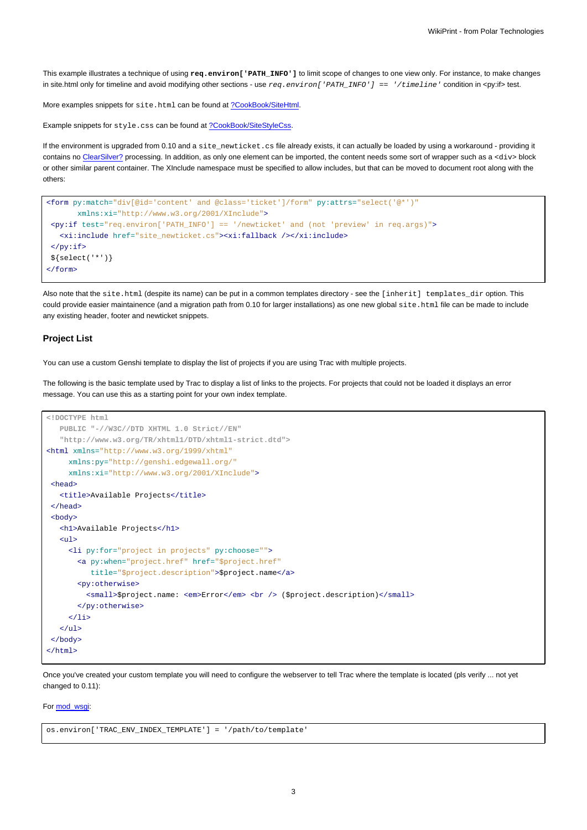This example illustrates a technique of using **req.environ['PATH\_INFO']** to limit scope of changes to one view only. For instance, to make changes in site.html only for timeline and avoid modifying other sections - use  $req.$   $environ['PATH\_INFO'] == '/timeline$   $line$   $i$  condition in <py:if> test.

More examples snippets for site.html can be found at [?CookBook/SiteHtml](http://trac.edgewall.org/intertrac/wiki%3ACookBook/SiteHtml).

Example snippets for style.css can be found at [?CookBook/SiteStyleCss](http://trac.edgewall.org/intertrac/wiki%3ACookBook/SiteStyleCss).

If the environment is upgraded from 0.10 and a site\_newticket.cs file already exists, it can actually be loaded by using a workaround - providing it contains no ClearSilver? processing. In addition, as only one element can be imported, the content needs some sort of wrapper such as a <div> block or other similar parent container. The XInclude namespace must be specified to allow includes, but that can be moved to document root along with the others:

```
<form py:match="div[@id='content' and @class='ticket']/form" py:attrs="select('@*')"
      xmlns:xi="http://www.w3.org/2001/XInclude">
<py:if test="req.environ['PATH_INFO'] == '/newticket' and (not 'preview' in req.args)">
  <xi:include href="site_newticket.cs"><xi:fallback /></xi:include>
\langle/py:if>
${select('*')}
</form>
```
Also note that the site.html (despite its name) can be put in a common templates directory - see the [inherit] templates dir option. This could provide easier maintainence (and a migration path from 0.10 for larger installations) as one new global site.html file can be made to include any existing header, footer and newticket snippets.

### **Project List**

You can use a custom Genshi template to display the list of projects if you are using Trac with multiple projects.

The following is the basic template used by Trac to display a list of links to the projects. For projects that could not be loaded it displays an error message. You can use this as a starting point for your own index template.

```
<!DOCTYPE html
  PUBLIC "-//W3C//DTD XHTML 1.0 Strict//EN"
   "http://www.w3.org/TR/xhtml1/DTD/xhtml1-strict.dtd">
<html xmlns="http://www.w3.org/1999/xhtml"
    xmlns:py="http://genshi.edgewall.org/"
    xmlns:xi="http://www.w3.org/2001/XInclude">
 <head>
   <title>Available Projects</title>
 </head>
 <br />
shody>
  <h1>Available Projects</h1>
   \langle u \rangle<li py:for="project in projects" py:choose="">
       <a py:when="project.href" href="$project.href"
          title="$project.description">$project.name</a>
       <py:otherwise>
         <small>$project.name: <em>Error</em> <br />> />> ($project.description)</small>
       </py:otherwise>
     \langle/li>
   \langle/ul>
</body>
</html>
```
Once you've created your custom template you will need to configure the webserver to tell Trac where the template is located (pls verify ... not yet changed to 0.11):

### For [mod\\_wsgi:](https://meteo.unican.es/trac/wiki/TracModWSGI)

os.environ['TRAC\_ENV\_INDEX\_TEMPLATE'] = '/path/to/template'